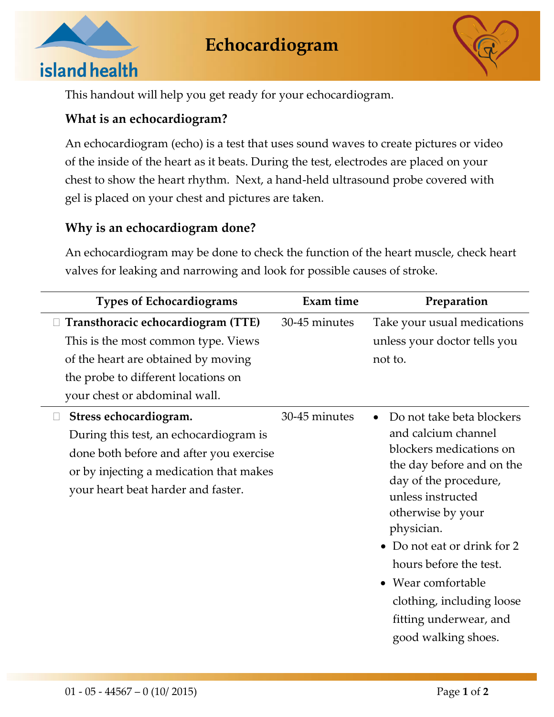



This handout will help you get ready for your echocardiogram.

# **What is an echocardiogram?**

An echocardiogram (echo) is a test that uses sound waves to create pictures or video of the inside of the heart as it beats. During the test, electrodes are placed on your chest to show the heart rhythm. Next, a hand-held ultrasound probe covered with gel is placed on your chest and pictures are taken.

### **Why is an echocardiogram done?**

An echocardiogram may be done to check the function of the heart muscle, check heart valves for leaking and narrowing and look for possible causes of stroke.

| <b>Types of Echocardiograms</b>                                                                                                                                                                        | <b>Exam time</b> | Preparation                                                                                                                                                                                                                                                                                                                                                       |
|--------------------------------------------------------------------------------------------------------------------------------------------------------------------------------------------------------|------------------|-------------------------------------------------------------------------------------------------------------------------------------------------------------------------------------------------------------------------------------------------------------------------------------------------------------------------------------------------------------------|
| $\Box$ Transthoracic echocardiogram (TTE)<br>This is the most common type. Views<br>of the heart are obtained by moving<br>the probe to different locations on<br>your chest or abdominal wall.        | 30-45 minutes    | Take your usual medications<br>unless your doctor tells you<br>not to.                                                                                                                                                                                                                                                                                            |
| Stress echocardiogram.<br>$\Box$<br>During this test, an echocardiogram is<br>done both before and after you exercise<br>or by injecting a medication that makes<br>your heart beat harder and faster. | 30-45 minutes    | Do not take beta blockers<br>$\bullet$<br>and calcium channel<br>blockers medications on<br>the day before and on the<br>day of the procedure,<br>unless instructed<br>otherwise by your<br>physician.<br>Do not eat or drink for 2<br>hours before the test.<br>• Wear comfortable<br>clothing, including loose<br>fitting underwear, and<br>good walking shoes. |